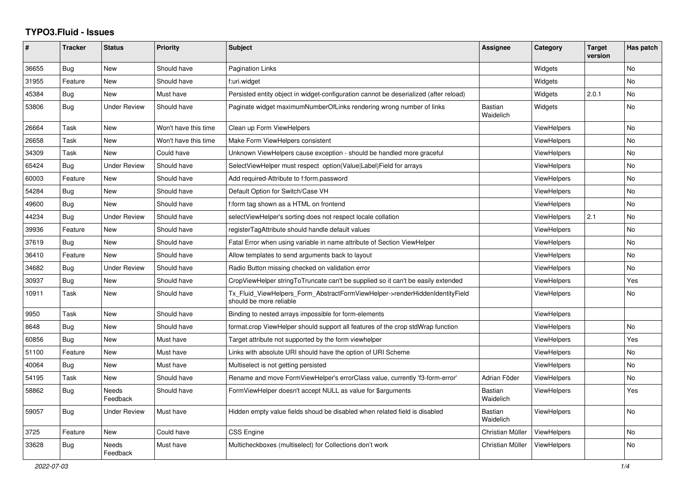## **TYPO3.Fluid - Issues**

| ∦     | <b>Tracker</b> | <b>Status</b>       | <b>Priority</b>      | <b>Subject</b>                                                                                         | Assignee                    | Category           | <b>Target</b><br>version | Has patch |
|-------|----------------|---------------------|----------------------|--------------------------------------------------------------------------------------------------------|-----------------------------|--------------------|--------------------------|-----------|
| 36655 | Bug            | New                 | Should have          | <b>Pagination Links</b>                                                                                |                             | Widgets            |                          | <b>No</b> |
| 31955 | Feature        | New                 | Should have          | f:uri.widget                                                                                           |                             | Widgets            |                          | <b>No</b> |
| 45384 | <b>Bug</b>     | <b>New</b>          | Must have            | Persisted entity object in widget-configuration cannot be deserialized (after reload)                  |                             | Widgets            | 2.0.1                    | No.       |
| 53806 | Bug            | <b>Under Review</b> | Should have          | Paginate widget maximumNumberOfLinks rendering wrong number of links                                   | <b>Bastian</b><br>Waidelich | Widgets            |                          | <b>No</b> |
| 26664 | Task           | New                 | Won't have this time | Clean up Form ViewHelpers                                                                              |                             | ViewHelpers        |                          | No.       |
| 26658 | Task           | New                 | Won't have this time | Make Form ViewHelpers consistent                                                                       |                             | ViewHelpers        |                          | No        |
| 34309 | Task           | New                 | Could have           | Unknown ViewHelpers cause exception - should be handled more graceful                                  |                             | ViewHelpers        |                          | <b>No</b> |
| 65424 | Bug            | Under Review        | Should have          | SelectViewHelper must respect option(Value Label)Field for arrays                                      |                             | ViewHelpers        |                          | No        |
| 60003 | Feature        | New                 | Should have          | Add required-Attribute to f:form.password                                                              |                             | <b>ViewHelpers</b> |                          | No        |
| 54284 | Bug            | New                 | Should have          | Default Option for Switch/Case VH                                                                      |                             | <b>ViewHelpers</b> |                          | No        |
| 49600 | Bug            | <b>New</b>          | Should have          | f:form tag shown as a HTML on frontend                                                                 |                             | ViewHelpers        |                          | <b>No</b> |
| 44234 | Bug            | <b>Under Review</b> | Should have          | selectViewHelper's sorting does not respect locale collation                                           |                             | ViewHelpers        | 2.1                      | <b>No</b> |
| 39936 | Feature        | New                 | Should have          | registerTagAttribute should handle default values                                                      |                             | <b>ViewHelpers</b> |                          | <b>No</b> |
| 37619 | Bug            | New                 | Should have          | Fatal Error when using variable in name attribute of Section ViewHelper                                |                             | <b>ViewHelpers</b> |                          | <b>No</b> |
| 36410 | Feature        | <b>New</b>          | Should have          | Allow templates to send arguments back to layout                                                       |                             | <b>ViewHelpers</b> |                          | No        |
| 34682 | Bug            | <b>Under Review</b> | Should have          | Radio Button missing checked on validation error                                                       |                             | ViewHelpers        |                          | No        |
| 30937 | Bug            | <b>New</b>          | Should have          | CropViewHelper stringToTruncate can't be supplied so it can't be easily extended                       |                             | ViewHelpers        |                          | Yes       |
| 10911 | Task           | New                 | Should have          | Tx_Fluid_ViewHelpers_Form_AbstractFormViewHelper->renderHiddenIdentityField<br>should be more reliable |                             | ViewHelpers        |                          | No.       |
| 9950  | Task           | New                 | Should have          | Binding to nested arrays impossible for form-elements                                                  |                             | <b>ViewHelpers</b> |                          |           |
| 8648  | Bug            | New                 | Should have          | format.crop ViewHelper should support all features of the crop stdWrap function                        |                             | <b>ViewHelpers</b> |                          | No.       |
| 60856 | Bug            | New                 | Must have            | Target attribute not supported by the form viewhelper                                                  |                             | <b>ViewHelpers</b> |                          | Yes       |
| 51100 | Feature        | New                 | Must have            | Links with absolute URI should have the option of URI Scheme                                           |                             | <b>ViewHelpers</b> |                          | <b>No</b> |
| 40064 | <b>Bug</b>     | New                 | Must have            | Multiselect is not getting persisted                                                                   |                             | <b>ViewHelpers</b> |                          | <b>No</b> |
| 54195 | Task           | New                 | Should have          | Rename and move FormViewHelper's errorClass value, currently 'f3-form-error'                           | Adrian Föder                | ViewHelpers        |                          | No        |
| 58862 | Bug            | Needs<br>Feedback   | Should have          | FormViewHelper doesn't accept NULL as value for \$arguments                                            | <b>Bastian</b><br>Waidelich | ViewHelpers        |                          | Yes       |
| 59057 | Bug            | Under Review        | Must have            | Hidden empty value fields shoud be disabled when related field is disabled                             | <b>Bastian</b><br>Waidelich | ViewHelpers        |                          | No        |
| 3725  | Feature        | New                 | Could have           | <b>CSS Engine</b>                                                                                      | Christian Müller            | <b>ViewHelpers</b> |                          | <b>No</b> |
| 33628 | Bug            | Needs<br>Feedback   | Must have            | Multicheckboxes (multiselect) for Collections don't work                                               | Christian Müller            | <b>ViewHelpers</b> |                          | <b>No</b> |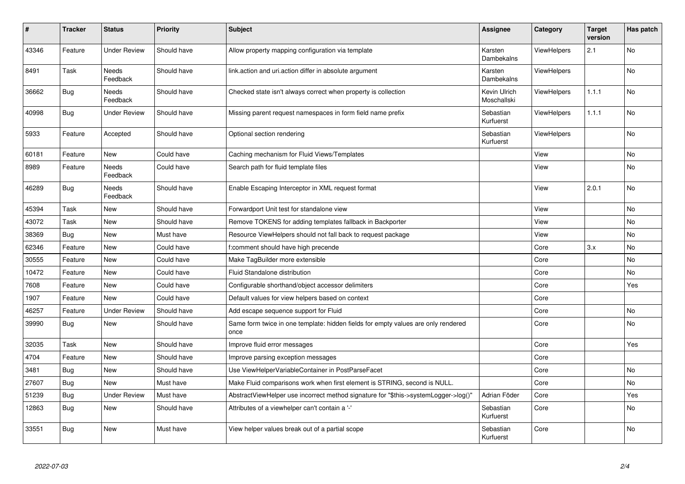| $\pmb{\sharp}$ | <b>Tracker</b> | <b>Status</b>            | <b>Priority</b> | <b>Subject</b>                                                                            | <b>Assignee</b>             | Category           | <b>Target</b><br>version | Has patch |
|----------------|----------------|--------------------------|-----------------|-------------------------------------------------------------------------------------------|-----------------------------|--------------------|--------------------------|-----------|
| 43346          | Feature        | <b>Under Review</b>      | Should have     | Allow property mapping configuration via template                                         | Karsten<br>Dambekalns       | <b>ViewHelpers</b> | 2.1                      | <b>No</b> |
| 8491           | Task           | Needs<br>Feedback        | Should have     | link action and uri action differ in absolute argument                                    | Karsten<br>Dambekalns       | <b>ViewHelpers</b> |                          | <b>No</b> |
| 36662          | Bug            | Needs<br>Feedback        | Should have     | Checked state isn't always correct when property is collection                            | Kevin Ulrich<br>Moschallski | <b>ViewHelpers</b> | 1.1.1                    | <b>No</b> |
| 40998          | Bug            | <b>Under Review</b>      | Should have     | Missing parent request namespaces in form field name prefix                               | Sebastian<br>Kurfuerst      | ViewHelpers        | 1.1.1                    | <b>No</b> |
| 5933           | Feature        | Accepted                 | Should have     | Optional section rendering                                                                | Sebastian<br>Kurfuerst      | <b>ViewHelpers</b> |                          | No        |
| 60181          | Feature        | New                      | Could have      | Caching mechanism for Fluid Views/Templates                                               |                             | View               |                          | No        |
| 8989           | Feature        | <b>Needs</b><br>Feedback | Could have      | Search path for fluid template files                                                      |                             | View               |                          | No        |
| 46289          | Bug            | Needs<br>Feedback        | Should have     | Enable Escaping Interceptor in XML request format                                         |                             | View               | 2.0.1                    | No        |
| 45394          | Task           | New                      | Should have     | Forwardport Unit test for standalone view                                                 |                             | View               |                          | <b>No</b> |
| 43072          | Task           | New                      | Should have     | Remove TOKENS for adding templates fallback in Backporter                                 |                             | View               |                          | No        |
| 38369          | Bug            | New                      | Must have       | Resource ViewHelpers should not fall back to request package                              |                             | View               |                          | No        |
| 62346          | Feature        | New                      | Could have      | f:comment should have high precende                                                       |                             | Core               | 3.x                      | No        |
| 30555          | Feature        | New                      | Could have      | Make TagBuilder more extensible                                                           |                             | Core               |                          | <b>No</b> |
| 10472          | Feature        | New                      | Could have      | Fluid Standalone distribution                                                             |                             | Core               |                          | No        |
| 7608           | Feature        | <b>New</b>               | Could have      | Configurable shorthand/object accessor delimiters                                         |                             | Core               |                          | Yes       |
| 1907           | Feature        | New                      | Could have      | Default values for view helpers based on context                                          |                             | Core               |                          |           |
| 46257          | Feature        | <b>Under Review</b>      | Should have     | Add escape sequence support for Fluid                                                     |                             | Core               |                          | <b>No</b> |
| 39990          | <b>Bug</b>     | <b>New</b>               | Should have     | Same form twice in one template: hidden fields for empty values are only rendered<br>once |                             | Core               |                          | No        |
| 32035          | Task           | <b>New</b>               | Should have     | Improve fluid error messages                                                              |                             | Core               |                          | Yes       |
| 4704           | Feature        | New                      | Should have     | Improve parsing exception messages                                                        |                             | Core               |                          |           |
| 3481           | <b>Bug</b>     | New                      | Should have     | Use ViewHelperVariableContainer in PostParseFacet                                         |                             | Core               |                          | No        |
| 27607          | <b>Bug</b>     | New                      | Must have       | Make Fluid comparisons work when first element is STRING, second is NULL.                 |                             | Core               |                          | No        |
| 51239          | <b>Bug</b>     | <b>Under Review</b>      | Must have       | AbstractViewHelper use incorrect method signature for "\$this->systemLogger->log()"       | Adrian Föder                | Core               |                          | Yes       |
| 12863          | Bug            | New                      | Should have     | Attributes of a viewhelper can't contain a '-'                                            | Sebastian<br>Kurfuerst      | Core               |                          | No        |
| 33551          | Bug            | New                      | Must have       | View helper values break out of a partial scope                                           | Sebastian<br>Kurfuerst      | Core               |                          | No        |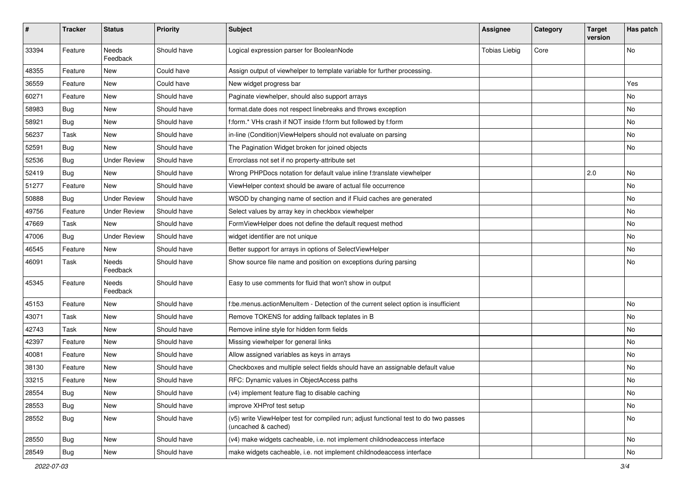| $\sharp$ | <b>Tracker</b> | <b>Status</b>       | <b>Priority</b> | Subject                                                                                                     | <b>Assignee</b>      | Category | <b>Target</b><br>version | Has patch |
|----------|----------------|---------------------|-----------------|-------------------------------------------------------------------------------------------------------------|----------------------|----------|--------------------------|-----------|
| 33394    | Feature        | Needs<br>Feedback   | Should have     | Logical expression parser for BooleanNode                                                                   | <b>Tobias Liebig</b> | Core     |                          | <b>No</b> |
| 48355    | Feature        | New                 | Could have      | Assign output of viewhelper to template variable for further processing.                                    |                      |          |                          |           |
| 36559    | Feature        | New                 | Could have      | New widget progress bar                                                                                     |                      |          |                          | Yes       |
| 60271    | Feature        | New                 | Should have     | Paginate viewhelper, should also support arrays                                                             |                      |          |                          | No        |
| 58983    | Bug            | New                 | Should have     | format.date does not respect linebreaks and throws exception                                                |                      |          |                          | No        |
| 58921    | Bug            | New                 | Should have     | f:form.* VHs crash if NOT inside f:form but followed by f:form                                              |                      |          |                          | No        |
| 56237    | Task           | New                 | Should have     | in-line (Condition) ViewHelpers should not evaluate on parsing                                              |                      |          |                          | No        |
| 52591    | Bug            | New                 | Should have     | The Pagination Widget broken for joined objects                                                             |                      |          |                          | No        |
| 52536    | Bug            | <b>Under Review</b> | Should have     | Errorclass not set if no property-attribute set                                                             |                      |          |                          |           |
| 52419    | Bug            | New                 | Should have     | Wrong PHPDocs notation for default value inline f:translate viewhelper                                      |                      |          | 2.0                      | <b>No</b> |
| 51277    | Feature        | New                 | Should have     | ViewHelper context should be aware of actual file occurrence                                                |                      |          |                          | No        |
| 50888    | Bug            | <b>Under Review</b> | Should have     | WSOD by changing name of section and if Fluid caches are generated                                          |                      |          |                          | No        |
| 49756    | Feature        | <b>Under Review</b> | Should have     | Select values by array key in checkbox viewhelper                                                           |                      |          |                          | No        |
| 47669    | Task           | New                 | Should have     | FormViewHelper does not define the default request method                                                   |                      |          |                          | No        |
| 47006    | Bug            | <b>Under Review</b> | Should have     | widget identifier are not unique                                                                            |                      |          |                          | No        |
| 46545    | Feature        | New                 | Should have     | Better support for arrays in options of SelectViewHelper                                                    |                      |          |                          | No        |
| 46091    | Task           | Needs<br>Feedback   | Should have     | Show source file name and position on exceptions during parsing                                             |                      |          |                          | <b>No</b> |
| 45345    | Feature        | Needs<br>Feedback   | Should have     | Easy to use comments for fluid that won't show in output                                                    |                      |          |                          |           |
| 45153    | Feature        | New                 | Should have     | f:be.menus.actionMenuItem - Detection of the current select option is insufficient                          |                      |          |                          | No        |
| 43071    | Task           | New                 | Should have     | Remove TOKENS for adding fallback teplates in B                                                             |                      |          |                          | No        |
| 42743    | Task           | New                 | Should have     | Remove inline style for hidden form fields                                                                  |                      |          |                          | No        |
| 42397    | Feature        | New                 | Should have     | Missing viewhelper for general links                                                                        |                      |          |                          | No        |
| 40081    | Feature        | New                 | Should have     | Allow assigned variables as keys in arrays                                                                  |                      |          |                          | No        |
| 38130    | Feature        | New                 | Should have     | Checkboxes and multiple select fields should have an assignable default value                               |                      |          |                          | No        |
| 33215    | Feature        | New                 | Should have     | RFC: Dynamic values in ObjectAccess paths                                                                   |                      |          |                          | No        |
| 28554    | <b>Bug</b>     | New                 | Should have     | (v4) implement feature flag to disable caching                                                              |                      |          |                          | No        |
| 28553    | <b>Bug</b>     | New                 | Should have     | improve XHProf test setup                                                                                   |                      |          |                          | No        |
| 28552    | Bug            | New                 | Should have     | (v5) write ViewHelper test for compiled run; adjust functional test to do two passes<br>(uncached & cached) |                      |          |                          | No        |
| 28550    | Bug            | New                 | Should have     | (v4) make widgets cacheable, i.e. not implement childnodeaccess interface                                   |                      |          |                          | No        |
| 28549    | Bug            | New                 | Should have     | make widgets cacheable, i.e. not implement childnodeaccess interface                                        |                      |          |                          | No        |